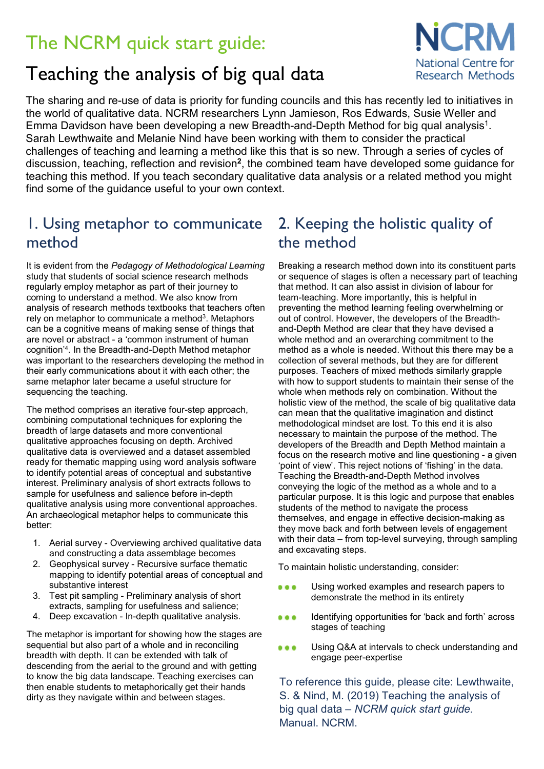# The NCRM quick start guide:

## Teaching the analysis of big qual data

The sharing and re-use of data is priority for funding councils and this has recently led to initiatives in the world of qualitative data. NCRM researchers Lynn Jamieson, Ros Edwards, Susie Weller and Emma Davidson have been developing a new Breadth-and-Depth Method for big qual analysis<sup>1</sup>. Sarah Lewthwaite and Melanie Nind have been working with them to consider the practical challenges of teaching and learning a method like this that is so new. Through a series of cycles of discussion, teaching, reflection and revision**<sup>2</sup>**, the combined team have developed some guidance for teaching this method. If you teach secondary qualitative data analysis or a related method you might find some of the guidance useful to your own context.

### 1. Using metaphor to communicate method

It is evident from the *Pedagogy of Methodological Learning* study that students of social science research methods regularly employ metaphor as part of their journey to coming to understand a method. We also know from analysis of research methods textbooks that teachers often rely on metaphor to communicate a method<sup>3</sup>. Metaphors can be a cognitive means of making sense of things that are novel or abstract - a 'common instrument of human cognition'4. In the Breadth-and-Depth Method metaphor was important to the researchers developing the method in their early communications about it with each other; the same metaphor later became a useful structure for sequencing the teaching.

The method comprises an iterative four-step approach, combining computational techniques for exploring the breadth of large datasets and more conventional qualitative approaches focusing on depth. Archived qualitative data is overviewed and a dataset assembled ready for thematic mapping using word analysis software to identify potential areas of conceptual and substantive interest. Preliminary analysis of short extracts follows to sample for usefulness and salience before in-depth qualitative analysis using more conventional approaches. An archaeological metaphor helps to communicate this better:

- 1. Aerial survey Overviewing archived qualitative data and constructing a data assemblage becomes
- 2. Geophysical survey Recursive surface thematic mapping to identify potential areas of conceptual and substantive interest
- 3. Test pit sampling Preliminary analysis of short extracts, sampling for usefulness and salience;
- 4. Deep excavation In-depth qualitative analysis.

The metaphor is important for showing how the stages are sequential but also part of a whole and in reconciling breadth with depth. It can be extended with talk of descending from the aerial to the ground and with getting to know the big data landscape. Teaching exercises can then enable students to metaphorically get their hands dirty as they navigate within and between stages.

### 2. Keeping the holistic quality of the method

Breaking a research method down into its constituent parts or sequence of stages is often a necessary part of teaching that method. It can also assist in division of labour for team-teaching. More importantly, this is helpful in preventing the method learning feeling overwhelming or out of control. However, the developers of the Breadthand-Depth Method are clear that they have devised a whole method and an overarching commitment to the method as a whole is needed. Without this there may be a collection of several methods, but they are for different purposes. Teachers of mixed methods similarly grapple with how to support students to maintain their sense of the whole when methods rely on combination. Without the holistic view of the method, the scale of big qualitative data can mean that the qualitative imagination and distinct methodological mindset are lost. To this end it is also necessary to maintain the purpose of the method. The developers of the Breadth and Depth Method maintain a focus on the research motive and line questioning - a given 'point of view'. This reject notions of 'fishing' in the data. Teaching the Breadth-and-Depth Method involves conveying the logic of the method as a whole and to a particular purpose. It is this logic and purpose that enables students of the method to navigate the process themselves, and engage in effective decision-making as they move back and forth between levels of engagement with their data – from top-level surveying, through sampling and excavating steps.

To maintain holistic understanding, consider:

- ... Using worked examples and research papers to demonstrate the method in its entirety
- Identifying opportunities for 'back and forth' across ... stages of teaching
- Using Q&A at intervals to check understanding and  $0.0.0$ engage peer-expertise

To reference this guide, please cite: Lewthwaite, S. & Nind, M. (2019) Teaching the analysis of big qual data – *NCRM quick start guide.*  Manual. NCRM.